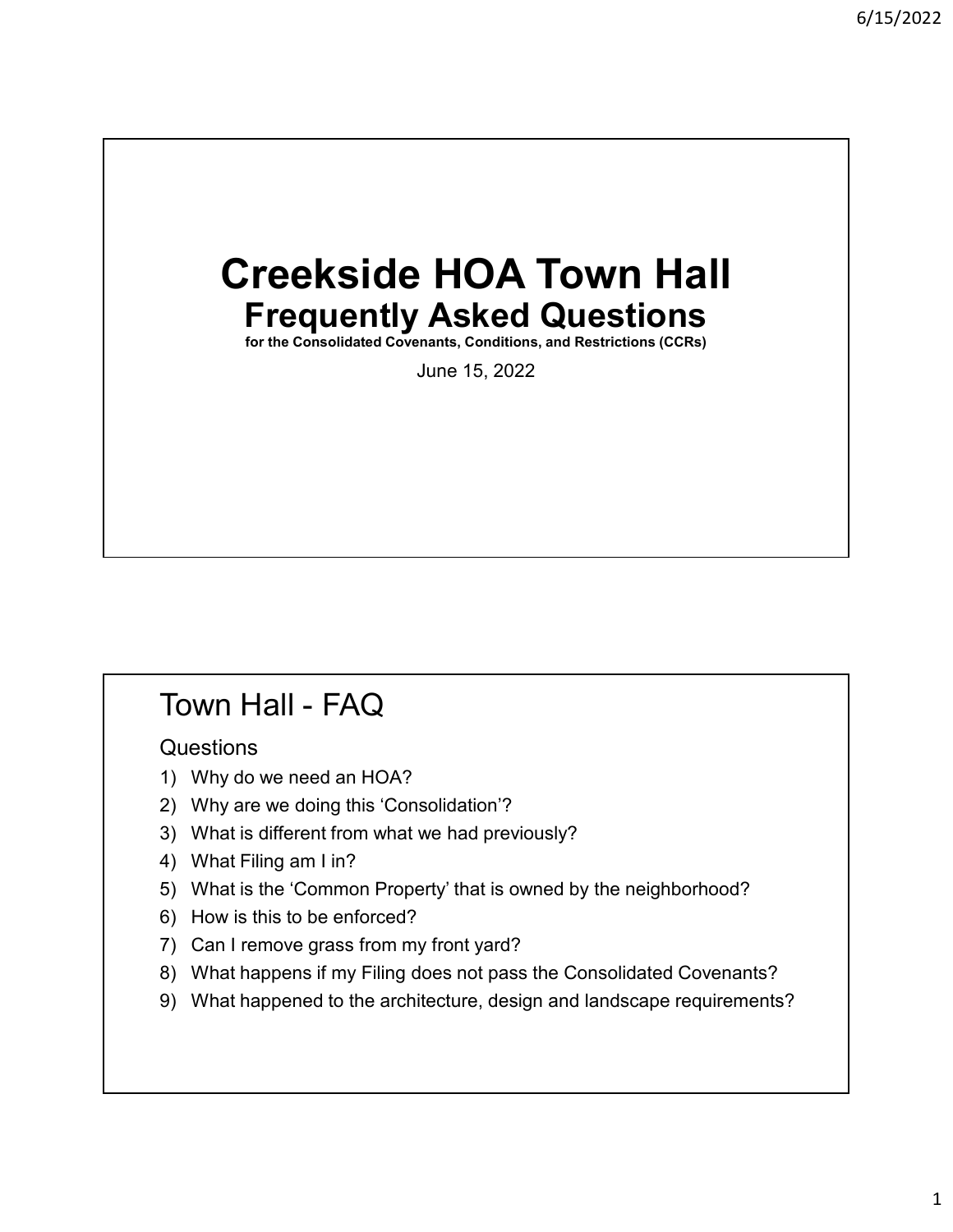# Creekside HOA Town Hall Frequently Asked Questions Frequently Asked Questions<br>
for the Consolidated Covenants, Conditions, and Restrictions (CCRs)<br>
June 15, 2022<br>
<br>
Town Hall - FAQ<br>
Questions<br>
1) Why do we need an HOA?<br>
2) Why are we doing this 'Consolidation'?

for the Consolidated Covenants, Conditions, and Restrictions (CCRs)

June 15, 2022

### **Questions**

- 
- 
- June 13, 2022<br>
Town Hall FAQ<br>
Questions<br>
1) Why do we need an HOA?<br>
2) Why are we doing this 'Consolidation'?<br>
3) What is different from what we had previously?<br>
4) What Filing am I in?
- 
- Town Hall FAQ<br>Questions<br>2) Why do we need an HOA?<br>2) Why are we doing this 'Consolidation'?<br>3) What is different from what we had previously?<br>4) What Filing am I in?<br>5) What is the 'Common Property' that is owned by the 1<br> **TOWN Hall - FAQ**<br>
2) Why do we need an HOA?<br>
3) What is different from what we had previously?<br>
3) What is different from what we had previously?<br>
4) What Filing am I in?<br>
5) What is the 'Common Property' that is owned Town Hall - FAQ<br>
Questions<br>
1) Why do we need an HOA?<br>
2) Why are we doing this 'Consolidation'?<br>
3) What is different from what we had previously?<br>
4) What Filing am I in?<br>
5) What is the 'Common Property' that is owned b From Hall - FAQ<br>
Suestions<br>
1) Why do we need an HOA?<br>
2) Why are we doing this 'Consolidation'?<br>
3) What is different from what we had previously?<br>
5) What is the 'Common Property' that is owned by the neighborhood?<br>
6) W Town Hall - FAQ<br>
Questions<br>
1) Why do we need an HOA?<br>
2) Why are we doing this 'Consolidation'?<br>
3) What is different from what we had previously?<br>
4) What Filing am I in?<br>
5) What is the 'Common Property' that is owned b
- 
- 
- 
- Town Hall FAQ<br>
Questions<br>
1) Why do we need an HOA?<br>
2) Why are we doing this 'Consolidation'?<br>
3) What is different from what we had previously?<br>
4) What Filing am I in?<br>
5) What is the 'Common Property' that is owned b **TOWN Hall - FAQ**<br>
Questions<br>
1) Why do we need an HOA?<br>
3) What is different from what we had previously?<br>
4) What Filing am I in?<br>
5) What is the 'Common Property' that is owned by the neighborhood?<br>
6) How is this to be Fractions<br>
1) Why do we need an HOA?<br>
2) Why are we doing this 'Consolidation'?<br>
3) What is different from what we had previously?<br>
5) What is the 'Common Property' that is owned by the neighborhood?<br>
6) How is this to be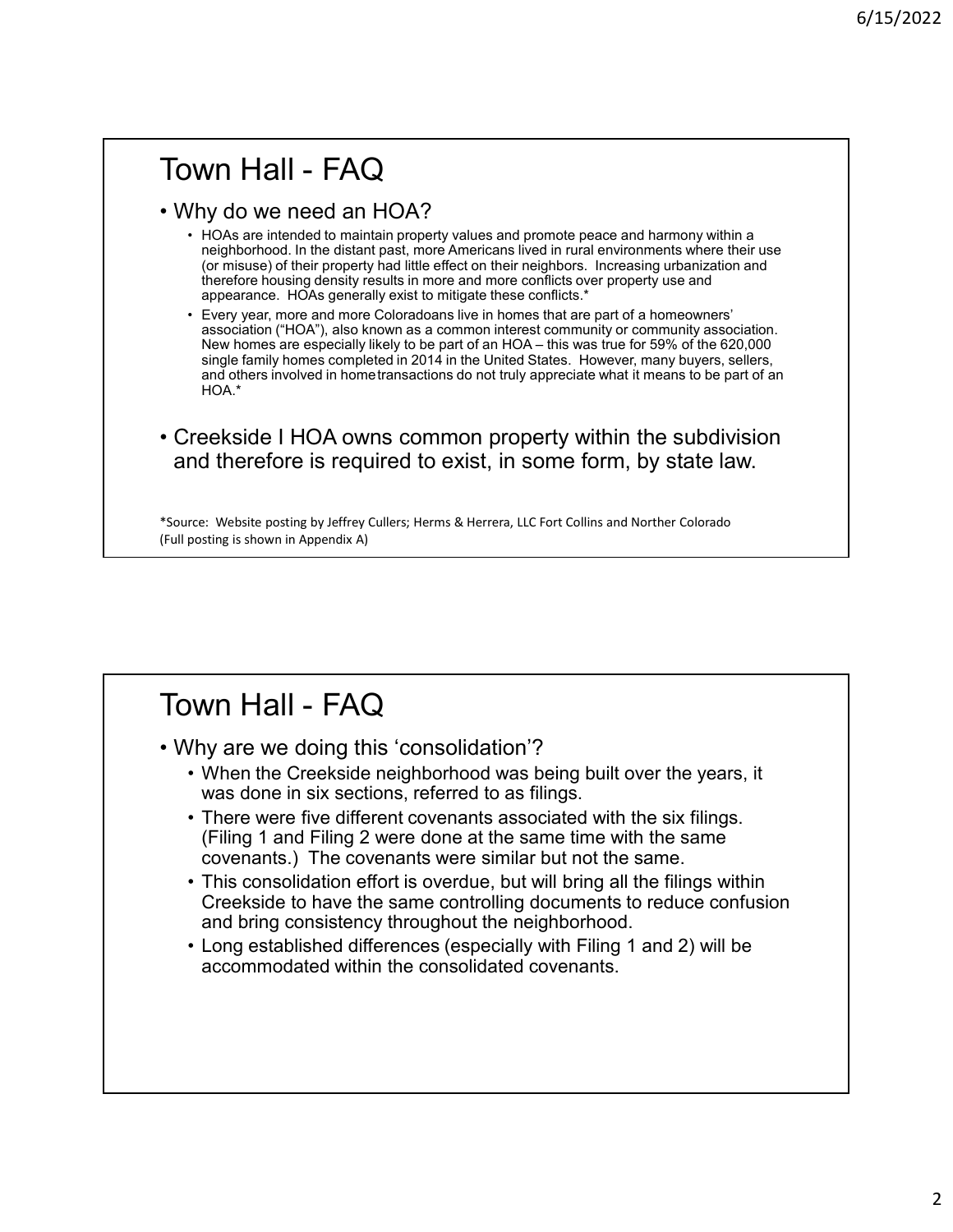- Town Hall FAQ<br>• Why do we need an HOA?<br>• HOAs are intended to maintain property values and promote peace and harmony within a<br>reighborhood. In the distant past, more Americans lived in rural environments where their use<br> Fown Hall - FAQ<br>• Why do we need an HOA?<br>• HOAs are intended to maintain property values and promote peace and harmony<br>regiphorhood. In the distant past, more Americans lived in rural environments where<br>fore misuse) of the **• HORE ART ART AND ASSEM (ATTACT)**<br>• HOAS are intended to maintain property values and promote peace and harmony within a<br>• rejok are intended to maintain property values and promote peace and harmony within a<br>• rejok th neighborhood. In the distant past, more Americans lived in rural environments where their use (or misuse) of their property had little effect on their neighbors. Increasing urbanization and therefore housing density results in more and more conflicts over property use and appearance. HOAs generally exist to mitigate these conflicts.\*
- **Every year, more and more colorado** and property values and promote peace and harmony within a reighborhood. In the distant past, more Americans lived in rural enviroments where their use (or misses) of their property 6/15/20<br>association ("HOA"), and HOA"), and the method of methods are accounted to maintain property and the method of methods are interest common interest common interest common interest community or community or communit  $\text{Hall}$  –  $\text{FAQ}$ <br>MM  $\text{Hall}$  –  $\text{FAQ}$ <br>Holes are intended to maintain property values and promote peace and harmony within a<br>meighborhood in the distant past, more Americans lived in rural environments where their use<br>th  $\begin{array}{l} 6/15/2022 \ \end{array}$ <br>Simply do we need an HOA?<br>HOAs are intended to maintain property values and promote peace and harmony within a<br>meghbohood. In the distant past, more Americans lived in rural environments where th 6/15/20:<br>and other means of an HOA?<br>HOAs are intended to maintain property values and promote peace and harmony within a<br>melghborhood in the distant past, more Americans lived in rural environments where their use<br>to remi HOA.\* FOWN Hall - FAQ<br>• Creekside and HOA?<br>• Hotel and HOA?<br>• Hotel and HOA?<br>• Hotel are interested to maintain property walters and promote parace and harmony within a<br>foremer parameter hours and the subset of the subset of th Fevry year, more and more Coloradons live in homes that are part of a homes were in the state of the measure in secondary association.<br>
New homes are specially likely to be part of an HOA - this was true of a homes that of • Why are we doing this 'consolidation'?<br>• When the expectative that the same to a structure may buyers, sellers,<br>and others involved in hometransactions do not truly appreciate what it means to be part of an<br>• Creekside
- and therefore is required to exist, in some form, by state law.

\*Source: Website posting by Jeffrey Cullers; Herms & Herrera, LLC Fort Collins and Norther Colorado (Full posting is shown in Appendix A)

- - was done in six sections, referred to as filings.
- and others involved in home transactions do not truly appreciate what it means to be part of an<br>  $\text{HOA}^*$ <br>  $\text{reekside I HOA owns common property within the subdivision}$ <br>  $\text{rce. Website positive by before is required to exist, in some form, by state law.}$ <br>  $\text{rece. Website positive by before, Hems & Herers, ILC Fort Collins and Northern Colorado  
points is shown in Appendix A)$ Freekside | HOA owns common property within the subdivision<br>
rad therefore is required to exist, in some form, by state law.<br>
rec: Website posting by Jeffrey Cullers; Herms & Herrera, LLC Fort Collins and Norther Colorado<br> (Filing 1 and Filing 2 were done at the same time with the same covenants.) The covenants were similar but not the same.
- ree: Website posting by Jeffrey Cullers; Herms & Herrera, LLC Fort Collins and Norther Colorado<br>
bosting is shown in Appendix A)<br>
(hy are we doing this 'consolidation'?<br>
 When the Creekside neighborhood was being built ov Creekside to have the same controlling documents to reduce confusion and bring consistency throughout the neighborhood. From the Comparison of the Consolidation'?<br>
• When the Creekside neighborhood was being built over the years, it<br>
was done in six estcions, referred to as filings.<br>
• There were five different covenants associated with the
	- accommodated within the consolidated covenants.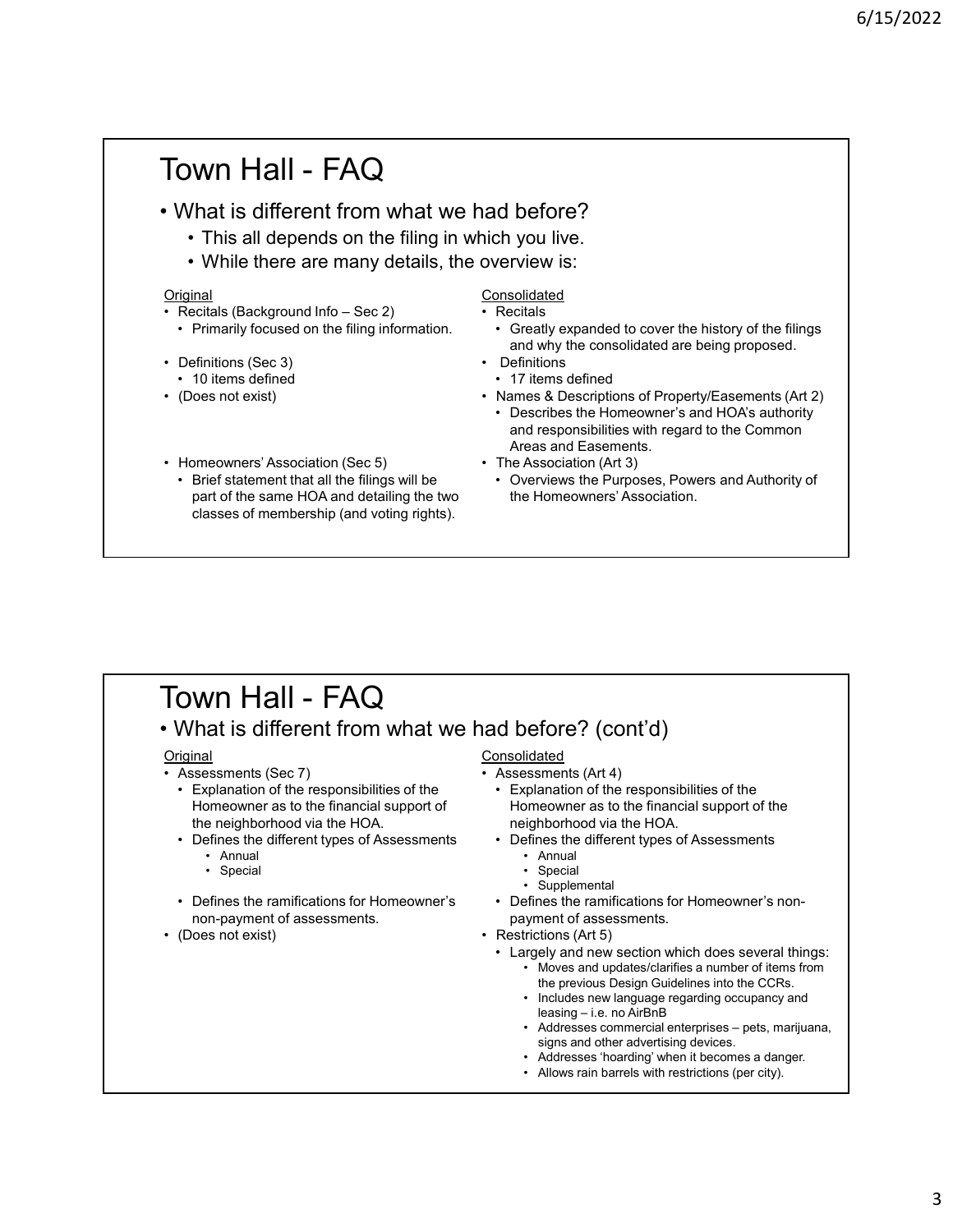# Town Hall - FAQ<br>• What is different from what we had before?<br>• This all depends on the filing in which you live.<br>• While there are many details, the overview is: Fown Hall - FAQ<br>
• What is different from what we had before?<br>
• This all depends on the filing in which you live.<br>
• While there are many details, the overview is:<br>
• Recitals (Reckground Info – Sec 2)<br>
• Recitals • This all **− FAQ**<br>• This all depends on the filing in which you live.<br>• This all depends on the filing in which you live.<br>• While there are many details, the overview is:<br>• Consolidated ecitals (Background Info – Sec 2) • WM Hall - FAQ<br>
• This all depends on the filing in which you live.<br>
• While there are many details, the overview is:<br>
• While there are many details, the overview is:<br>
• Consolidated<br>
• Recitals<br>
• Greatly expanded to **Original** FOWN Hall - FAQ<br>
• What is different from what we had before?<br>
• This all depends on the filing in which you live.<br>
• While there are many details, the overview is:<br>
• Primarily focused on the filing information.<br>
• Reci **• Primarily focused on the filing in the filing in the filing in the filing in which you live.**<br>
• This all depends on the filing in which you live.<br>
• While there are many details, the overview is:<br>
<u>iginal</u> **Eccitals**<br> Fractions (Sec 3)<br>
• United States (Sec 3)<br>
• United States (Sec 3)<br>
• Definitions (Sec 3)<br>
• Definitions (Sec 3)<br>
• Definitions (Sec 3)<br>
• Definitions (Sec 3)<br>
• Definitions (Sec 3)<br>
• Definitions (Sec 3)<br>
• Definitions ( **OWN Hall - FAQ**<br>
What is different from what we had before?<br>
• This all depends on the filing in which you live.<br>
• While there are many details, the overview is:<br>
• The there are many details, the overview is:<br>
• The sec FOWN Hall - FAQ<br>
• What is different from what we had before?<br>
• This all depends on the filing in which you live.<br>
• While there are many details, the overview is:<br>
Original<br>
• Recitals<br>
• Primarily focused on the filing FOWN Hall - FAQ<br>
• What is different from what we had before?<br>
• This all depends on the filing in which you live.<br>
• While there are many details, the overview is:<br>
• Crecitals<br>
• Primarily focused on the filing inform • Brief Statement The FAC What is different from what we had before?<br>
• This all depends on the filing in which you live.<br>
• While there are many details, the overview is:<br>
• Frimarily focused on the filing information.<br> Consolidated 6/15/2022<br>
and before?<br>
inch you live.<br>
overview is:<br>
<u>Consolidated</u><br>
• Recitals<br>
• Greatly expanded to cover the history of the filings<br>
• Definitions<br>
• Definitions<br>
• Titems defined<br>
• Names & Descriptions of Property/E <sup>6</sup>/15/2022<br> **d before?**<br>
ch you live.<br>
hyou live.<br>
recitals<br>
Fectals are consolidated to cover the history of the filings<br>
and why the consolidated are being proposed.<br>
Definitions<br>
• 17 items defined<br>
• Describes the Hom 6/15/2022<br>
and before?<br>
inch you live.<br>
soverview is:<br>
some live of the filings<br>  $\frac{1}{2}$ <br>  $\frac{1}{2}$ <br>  $\frac{1}{2}$ <br>  $\frac{1}{2}$ <br>  $\frac{1}{2}$ <br>  $\frac{1}{2}$ <br>  $\frac{1}{2}$ <br>  $\frac{1}{2}$ <br>  $\frac{1}{2}$ <br>  $\frac{1}{2}$ <br>  $\frac{1}{2}$ <br>  $\frac{1}{2}$ <br>  $\frac{1}{2}$ 6/15/2022<br>
d before?<br>
th you live.<br>
hyou live.<br>
verview is:<br>
standard to cover the history of the filings<br>
creatly expanded to cover the history of the filings<br>
and why the consolidated are being proposed.<br>
Definitions<br>
th **6/15/2022**<br> **example 15/2022**<br>
Fich you live.<br>
overview is:<br>
Consolidated<br>
• Recidals<br>
• Cerally expanded to cover the history of the filings<br>
• Cerally expanded to cover the history of Primes<br>
• Definitions<br>
• Peropert 6/15/2022<br>
d before?<br>
th you live.<br>
hyou live.<br>
review is:<br>
review is:<br>
rescribes the Hostopy of the filings<br>
and why the consolidated are being proposed.<br>
Definitions<br>
17 items defined<br>
Names & Descriptions of Property/Ea and before?<br>
inch you live.<br>
overview is:<br>
Consolidated<br>
• Recitals<br>
• Grattly expanded to cover the history of the filings<br>
• and why the consolidated are being proposed.<br>
• Definitions<br>
• Names & Descriptions of Property d before?<br>
• Creative was:<br>
• Creative was the Recitals<br>
• Greative was and why the consolidated are being proposed.<br>
Definitions<br>
• T7 lems defined<br>
• Names & Descriptions of Property/Easements (Art 2)<br>
• Describes the Ho **Channel Control Control Control Control Control Control Control Control Control Control Control Control Control Control Control Control Control Control Control Control Control Control Control Control Control Control Cont** • Primarily focused on the filing information. • Greatly expanded to cover the history of the filing intervalsed to contently the consolidated are bing proposed.<br>• (1) terms defined<br>• (Noes not exist)<br>• Names & Descriptio • Association (Sec 5)<br>
• Assessment State of The State of The State of Properties the Homeowner's<br>
• Association (Sec 5)<br>
• The Association (Art 3)<br>
• The Association (Art 3)<br>
• Brief statement that all the filings will be From Solution of Property<br>
(Does not exist)<br>
• Rames & Descriptions of Property<br>
• Charactes the Homeowers' are and Easements.<br>
• Fine Association (Sec 5)<br>
• The Association (Aft 3)<br>
• Otherwors the Purposes, Power<br>
part • Commons & Descriptions of Property/Easements (Art 2)<br>• A Triems defined<br>• Describes the Homeowner's and HOA's authority<br>and responsibilities with regard to the Common<br>• The Association (Art 3)<br>• Overviews the Purposes, P

- part of the same HOA and detailing the two classes of membership (and voting rights).
- and why the consolidated are being proposed.
- 
- and responsibilities with regard to the Common Areas and Easements. Friedly Controllary<br>
Friedly Sescriptions of Property/Easements (Art 2)<br>
• Describes the Homeowner's and HOA's authority<br>
and responsibilities with regard to the Common<br>
Areas and Easements.<br>
The Association (Art 3)<br>
• Ove
- 
- the Homeowners' Association.

### **Original**

- 
- Homeowner as to the financial support of the neighborhood via the HOA. Homeowners' Association (Sec 5)<br>
• Brief statement that all the filings will be<br>
• The Association (Art 3)<br>
or Owerviews the Purposes, Power<br>
part of the same HOA and detailing the two<br>
the Homeowners' Association.<br>
cl Experient that all the filing swill be<br>
interastion (Art 3)<br>
interastion (Art 3)<br>
in the same HOA and detailing the two<br>
the Homeowners' Association.<br>
The Association (Art 3)<br>  $\cdot$  Overviews the Purposes, Powers and<br>
sisse evewers association (sec 5)<br>
iet statement that all the filings will be<br>
• Overviews the Purposes, Powers and<br>
the same HOA and detailing the two<br>
special is different from what we had before? (cont'd)<br>
all<br>
special expect France Constrained Constrained Constrained Constrained Constrained Constrained Constrained Constrained Constrained Constrained Constrained Constrained Constrained Constrained Constrained Constrained Constrained Constrained Town Hall - FAQ<br>
• What is different from what we had before? (cont'd)<br>
• Assessments (Sec 7)<br>
• Explanation of the responsibilities of the<br>
• Explanation of the responsibilities of the<br>
• Explanation of the responsibiliti
	- -
		-
	- non-payment of assessments.

### **Consolidated**

- 
- Homeowner as to the financial support of the neighborhood via the HOA. • Areas and Easements.<br>
The Association (Art 3)<br>
• Overviews the Purposes, Powers and Authority of<br>
the Homeowners' Association.<br>
• Control of the Homeowners' Association.<br>
• Control of the different types of Access<br>
and S eas an uncasements.<br>Association (Art 3)<br>Perviews the Purposes, Powers and Authority of<br>Homeowners' Association.<br><u>Waldated</u><br>Wassments (Art 4)<br><u>Unident</u><br>Sesments (Art 4)<br>planation of the responsibilities of the<br>impower as to Association (Art 3)<br>verviews the Purposes, Powers and Authority of<br>elformeowners' Association.<br>Bidated<br>sysments (Art 4)<br>phanation of the fragonsibilities of the<br>phanation of the fragonsity of the menowner as to the financi verviews the Purposes, Powers and Authority of<br>
Homeowners' Association.<br>
idated<br>
sisments (Art 4)<br>
planation of the responsibilities of the<br>
menower as to the financial support of the<br>
inghborhood via the HOA.<br>
• Suppleme **d before?** (cont'd)<br> **considered**<br>
Assessments (Art 4)<br>
• Explanation of the responsibilities of the<br>
• Explanation of the responsibilities of the<br>
religiblent radio to the financial support of the<br>
• Defines the diffe **and before?** (cont<sup>2</sup>d)<br>
Consolidated<br>
• Assessments (Art 4)<br>
• Explanation of the responsibilities of the<br>
• Homeower as to the financial support of the<br>
religiblorhood via the HOA.<br>
• Defines the different types of Asse deformediated<br>
Assessments (Art 4)<br>
• Explanation of the responsibilities of the<br>
• Explanation of the responsibilities of the<br>
religiblenchood via the HOA.<br>
• Defines the different types of Assessments<br>
• Annual<br>
• Specia **efore?** (cont<sup>2</sup>d)<br>
bidated<br>
sissments (Art 4)<br>
phanation of the responsibilities of the<br>
phanation of the financial support of the<br>
influence a different types of Assessments<br>
- Annual<br>
- Supplemental<br>
- Supplemental<br>
 **efore? (cont'd)**<br>
<u>Idated</u><br>
Idated<br>
spannents (Art 4)<br>
splannotion of the responsibilities of the<br>
pmeowner as to the financial support of the<br>
refliences the different types of Assessments<br>
• Annual<br>
• Special<br>
• Supplem **fore?** (**Cont'd**)<br> **ated**<br> **atem**<br> **arentists** (Art 4)<br> **annation of the responsibilities of the<br>
<b>ecowere** as to the financial support of the<br> **becomediate and the HOA.**<br>
Special<br>
Supplemental<br>
Supplemental<br>
Supplemental **effore?** (CO**Nt'd)**<br>
<u>lidated</u><br>
signments (Art 4)<br>
spinohnoto of the responsibilities of the<br>
imporobot via the HOA.<br>
sighborhood via the HOA.<br>
fifting the different types of Assessments<br>
- Annual<br>
- Special<br>
- Special<br>
-**Formal Constant Constant Constant Constant Constant Constant Componence as to the financial support of the minimal support of the financial support of the minimal support of the minimal constant Constant Constant Constant efore?** (Cont<sup>2</sup>d)<br>
<u>idated</u><br>
sysments (Art 4)<br>
phenation of the responsibilities of the<br>
phenomera as to the financial support of the<br>
restrictions diated with restrictions (Art Signemental<br>
Fines the ramifications for H
	- -
		-
		-
	- payment of assessments.

- - the previous Design Guidelines into the CCRs.
	-
	- signs and other advertising devices.<br>• Addresses 'hoarding' when it becomes a danger.
	-
	-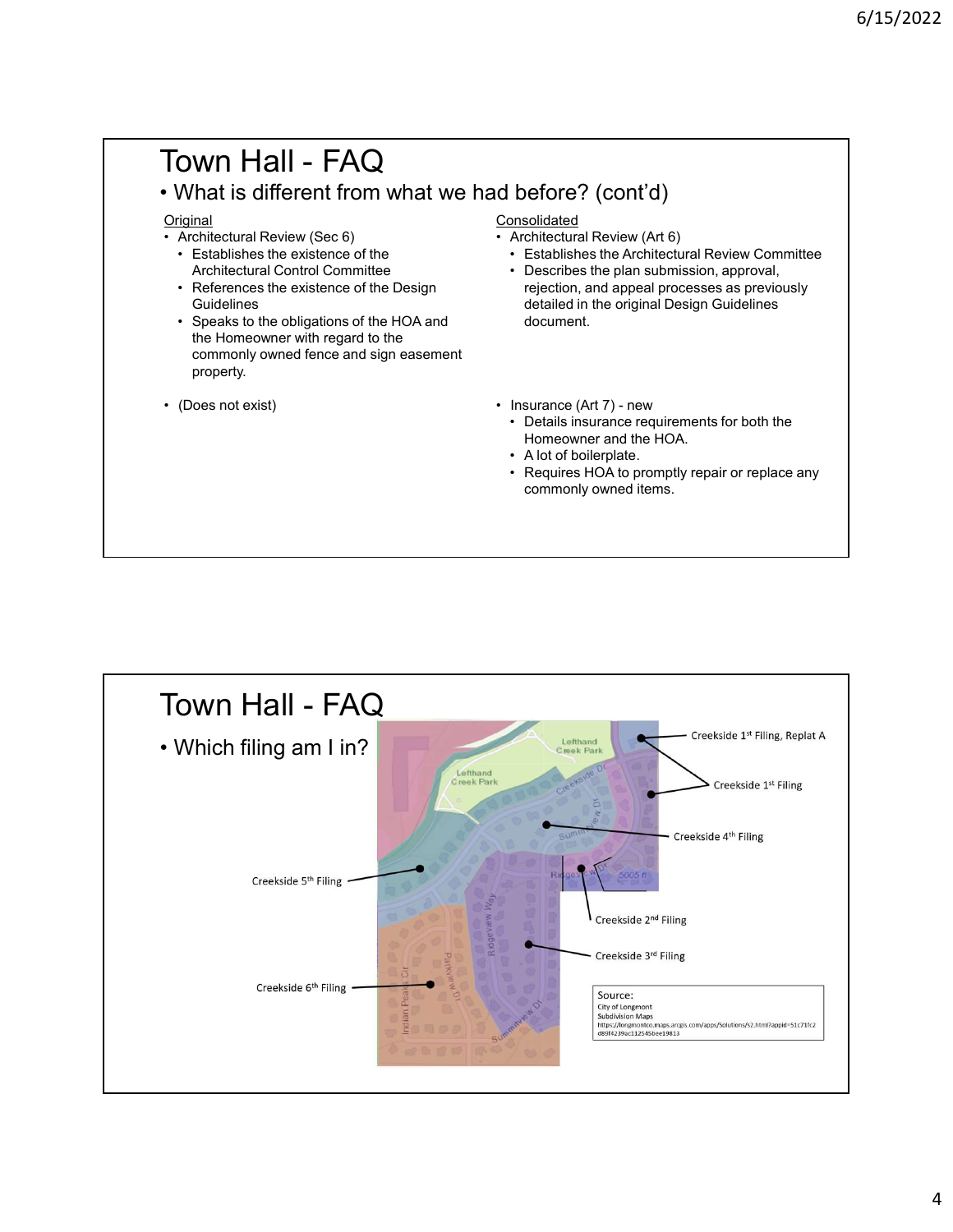# Town Hall - FAQ<br>
• What is different from what we had before? (cont'd)<br>
• Architectural Review (Sec 6)<br>
• Establishes the existence of the<br>
• Establishes the Architectural Review Committee<br>
• Establishes the Architectural **Town Hall - FAQ**<br>
• What is different from what we had before? (cont'd)<br>
• What is different from what we had before? (cont'd)<br>
• Architectural Review (Sec 6)<br>
• Establishes the Architectural Review Committee<br>
• Architec FOWN Hall - FAQ<br>
• What is different from what we had before? (cont'd)<br>
• Architectural Review (Sec 6)<br>
• Establishes the existence of the<br>
Architectural Consolidated<br>
• Establishes the existence of the<br>
Architectural Cons

### **Original**

- -
- **Guidelines**
- **OWN Hall FAQ**<br>
What is different from what we had before? (cont'd)<br>
iginal<br>
Architectural Review (Sec 6)<br>
 Establishes the existence of the<br>
 Architectural Control Committee<br>
 References the existence of the Design<br> **OWN Hall - FAQ**<br>
What is different from what we had before? (cont'd)<br>  $\frac{1}{\text{original}}$ <br>
Architectural Review (Sec 6)<br>
• Establishes the existence of the<br>
• Establishes the pair of the Castellines<br>
• References the existence the Homeowner with regard to the commonly owned fence and sign easement property. FOWN Hall - FAQ<br>
• What is different from what we had before? (cont'd)<br>
• Considiated<br>
• Architectural Review (Sec 6)<br>
• Establishes the existence of the<br>
• Architectural Control Committe<br>
• Considiated<br>
• Architectural Co
- 

### **Consolidated**

- 
- 
- FAQ<br>
What is different from what we had before? (cont'd)<br>
What is different from what we had before? (cont'd)<br>
Architectural Review (Sec 6)<br>
 Establishes the existence of the<br>
Architectural Control Committee<br>
 References Architectural Control Committee **Architectural Control Committee 1996** v Describes the plan submission, approval, 6/15/2022<br>
d before? (cont'd)<br>
Consolidated<br>
• Architectural Review (Art 6)<br>
• Establishes the Architectural Review Committee<br>
• Describes the plan submission, approval,<br>
rejection, and appeal processes as previously<br>
deta <sup>6/15/2022</sup><br>• Establishes the Architectural Review (Art 6)<br>• Establishes the Architectural Review Committee<br>• Describes the plan submission, approval,<br>rejection, and appeal processes as previously<br>detailed in the original 6/15/2022<br> **before? (cont'd)**<br>
<u>pnsolidated</u><br>
Architectural Review (Art 6)<br>
• Establishes the Architectural Review Committee<br>
• Describes the plan submission, approval,<br>
rejection, and appeal processes as previously<br>
detai rejection, and appeal processes as previously detailed in the original Design Guidelines document. 6/15/2022<br>
d before? (cont'd)<br>
Consolidated<br>
Architectural Review (Art 6)<br>
Establishes the Architectural Review Committee<br>
Describes the plan submission, approval,<br>
rejection, and appeal processes as previously<br>
detailed i **before?** (cont'd)<br> **before?** (cont'd)<br>
<u>Architectural</u> Review (Art 6)<br>
• Checribes the plan submission, approval,<br>
• Decrements for plan submission, approval,<br>
• rejection, and appeal processes as previously<br>
detailed i **before?** (cont'd)<br>
Insolidated<br>
Architectural Review (Art 6)<br>
• Establishes the Architectural Review Committee<br>
• Describes the plan submission, approval,<br>
rejection, and appeal processes as previously<br>
detailed in the or **before? (cont'd)**<br> **hospidated**<br>
Architectural Review (Art 6)<br>
• Establishes the para ubmission, approval,<br>
• Describes the pair submission, approval,<br>
rejection, and appeal processes as previously<br>
detailed in the origin
	- - Homeowner and the HOA.
	-
	- commonly owned items.

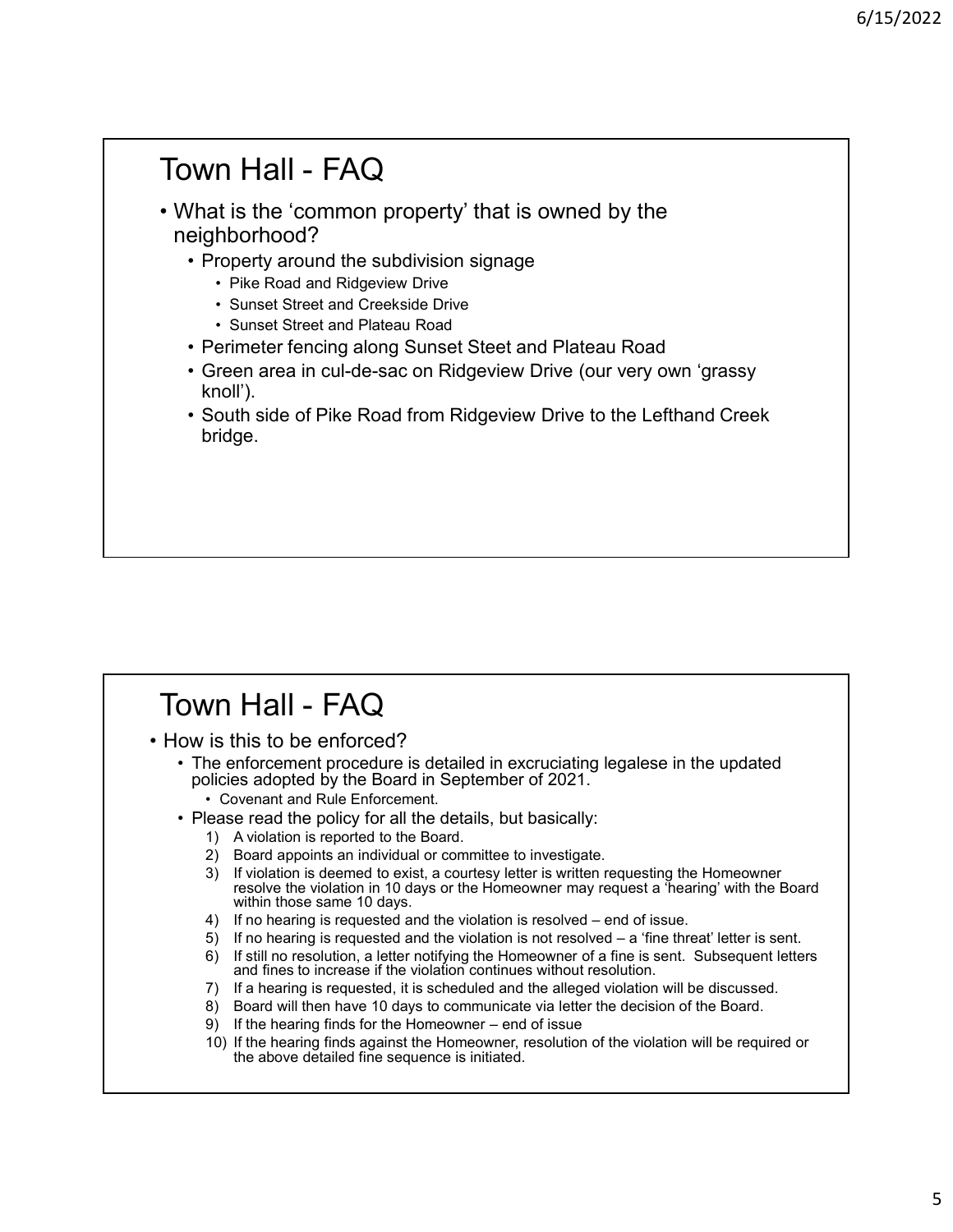# Town Hall - FAQ<br>• What is the 'common property' that is owned by the<br>neighborhood?<br>• Property around the subdivision signage Town Hall - FAQ<br>• What is the 'common property' that is owned by the<br>neighborhood?<br>• Property around the subdivision signage<br>• Pike Road and Ridgeview Drive<br>• Sunset Street and Creekside Drive neighborhood? • Property that is owned by the seighborhood?<br>• Property around the subdivision signage<br>• Property around the subdivision signage<br>• Prixe Road and Ridgeview Drive<br>• Sunset Street and Creekside Drive<br>• Perimeter fencing al **n Hall - FAQ**<br>
t is the 'common property' that is owned by the<br>
hborhood?<br>
roperty around the subdivision signage<br>
• Pike Road and Ridgeview Drive<br>
• Sunset Street and Plateau Road<br>
• Sunset Street and Plateau Road<br>
erime **n Hall - FAQ**<br>
t is the 'common property' that is owned by the<br>
hborhood?<br>
• Pike Road and Ridgeview Drive<br>
• Sunset Street and Creekside Drive<br>
• Sunset Street and Plateau Road<br>
• Fincest Street and Plateau Road<br>
• Fince n Hall - FAQ<br>
ti is the 'common property' that is owned by the<br>
hborhood?<br>
roperty around the subdivision signage<br>
• Pike Road and Ridgeview Drive<br>
• Sunset Street and Creekside Drive<br>
• Sunset Street and Plateau Road<br>
ree e/15/2022<br>• Perimeter fencim on property' that is owned by the<br>• Property around the subdivision signage<br>• Pike Road and Ridgeview Drive<br>• Sunset Street and Creekside Drive<br>• Sunset Street and Plateau Road<br>• Green area i • G/15,<br>
• G/15,<br>
• Mall - FAQ<br>
• Property around the subdivision signage<br>
• Property around the subdivision signage<br>
• File Road and Ridgeview Drive<br>
• Sunset Street and Plateau Road<br>
• Green area in cul-de-sac on Ridge • South side of Pike Road from Ridgeview Drive to the Lefthand Creek<br>• Property around the subdivision signage<br>• Pike Road and Ridgeview Drive<br>• Sunset Street and Creekside Drive<br>• Sunset Street and Plateau Road<br>• Creen a Surface and Creestate Investigate Investigated Internal Consert Street and Plateau Road<br>
- Perimeter fencing along Sunset Steet and Plateau Road<br>
- Green area in cul-de-sac on Ridgeview Drive (our very own 'grassy<br>
knoll')

- knoll').
- bridge.

- 
- Perimeter fencing along Sunset Steet and Plateau Road<br>• Green area in cul-de-sac on Ridgeview Drive (our very ow<br>• South side of Pike Road from Ridgeview Drive to the Left<br>• bridge.<br>• Collings.<br>• Town Hall FAQ<br>• How is • Green area in cul<sup>1</sup>-de-sac on Ridgeview Drive (our very own 'grassy<br>• South side of Pike Road from Ridgeview Drive to the Lefthand Creek<br>bridge.<br>• South Side of Pike Road from Ridgeview Drive to the Lefthand Creek<br>brid policies adopted by the Board in September of 2021. • Covenant South side of Pike Road from Ridgeview Drive to the Lefthand Cordge.<br>• Cordge.<br>• Cordge.<br>• Covenant and Rule Enforced?<br>• Covenant and Rule Enforcement.<br>• Covenant and Rule Enforcement.<br>• Covenant and Rule Enforc • South side of Pike Road from Ridgeview Drive to the Lefthand C<br>
bridge.<br>
• Price enforcement procedure is detailed in excruciating legalese in the up<br>
policies adopted by the Board in September of 2021.<br>
• Covenant and R oridge.<br>
1) A violation is this to be enforced?<br>
1) is this to be enforced?<br>
1) enforcement procedure is detailed in excruciating legalese in the upd<br>
1) covenant and Rule Enforcement.<br>
1) exact appoints in individual or c VN  $\text{Hall}$  –  $\text{FAQ}$ <br>
is this to be enforced?<br>
is this to be enforced?<br>
is this to be enforced the position is detailed in excruciating legalese in the upd<br>
is lease read the policy for all the details, but basically:<br>  $\$ 
	- -
		-
- **3)** If violation is deemed to exist, a courtesy letter is defined in exerception in the updated policies adopted by the Board in September of 2021.<br>  $\sim$  Covenant and Rule Enforcement.<br>  $\sim$  Covenant and Rule Enforcement resolve the violation in 10 days or the Homeowner may request a 'hearing' with the Board within those same 10 days.  $\text{YIn Hall} - \text{FAQ}$ <br>is this to be enforced?<br>energiencement procedure is detailed in excruciating legalese in the updated<br>olicies adopted by the Board in September of 2021.<br>case read the policy for all the distormant.<br>exame Vn Hall - FAQ<br>
is this to be enforced?<br>
is this to be enforced?<br>
is related in excruciating legalese in the updated<br>
iclicies adopted by the Board in September of 2021.<br>
• Covenant and Rule Enforcement.<br>
2) Board appoints **Vn Hall - FAQ**<br>is this to be enforced?<br>
he enforcement procedure is detailed in excruciating legalese in the updated<br>
bicics adopted by the Board in September of 2021.<br>
How the Board in September of 2021.<br>
How the Board **Yn Hall - FAQ**<br>
is rhis to be enforced ?<br>
is rhis to be enforced ?<br>
ile Board in September of 2021.<br>
Ile Board in September of 2021.<br>
• Covenant and Rule Enforcement.<br>
• Covenant and Rule Enforcement.<br>
9 a consisted to t **For the matter of the matter is statistically in the matter of 2021.**<br>
So this statistic of the polocycle is detailed in excruciating legalese in the updated policies adopted by the Board in September of 2021.<br>
• Covenan Vn  $\text{Hall}$  –  $\text{FAQ}$ <br>is this to be enforced?<br>lie and force of the heard in excruciating legalese in the updated<br>licities adopted by the Borad in September of 2021.<br>- Covenant and Rule Enforcement.<br>9) Aviolation is report **In Hall - FAQ**<br>
is this to be enforced?<br>
is this to be enforced?<br>
is the finder metrodechieve is detailed in excruciating legalese in the updated<br>
clocies adopted by the Board in September of 2021.<br>
ease read the ploicy
	-
	-
	- 6) If still no resolution, a letter notifying the Homeowner of a fine is sent. Subsequent letters and fines to increase if the violation continues without resolution.
	-
	-
	-
	- the above detailed fine sequence is initiated.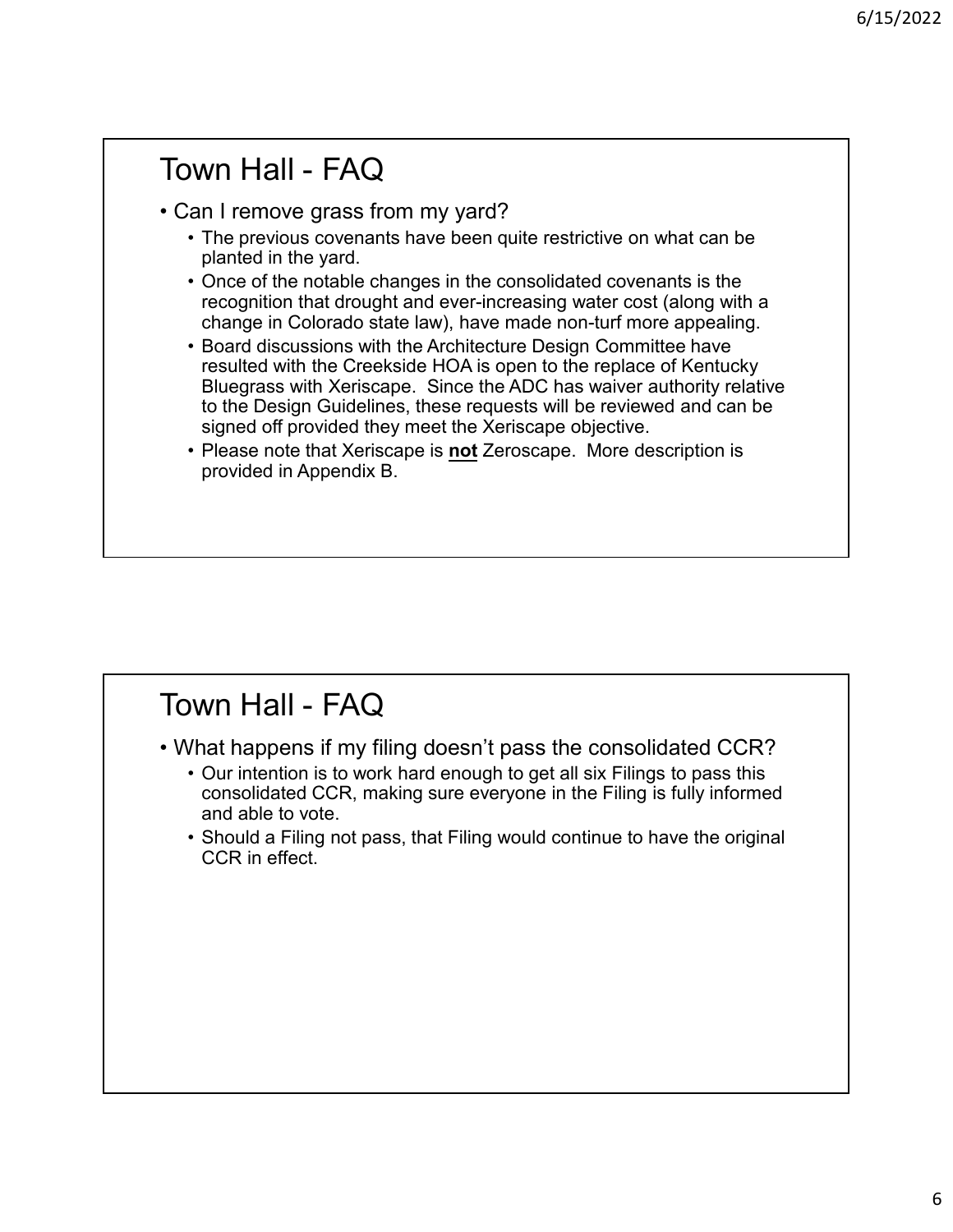# Town Hall - FAQ<br>• Can I remove grass from my yard?<br>• The previous covenants have been quite restrictive on what can be<br>planted in the yard. Fown Hall - FAQ<br>• Can I remove grass from my yard?<br>• The previous covenants have been quite restrictive on what can be<br>planted in the yard.<br>• Once of the notable changes in the consolidated covenants is the<br>recognition th <sup>6/15,</sup><br> **• The previous covenants have been quite restrictive on what can be**<br>
• The previous covenants have been quite restrictive on what can be<br>
planted in the yard.<br>
• Once of the notable changes in the consolidated planted in the yard. <sup>6/1</sup><br>• The previous covenants have been quite restrictive on what can be<br>• The previous covenants have been quite restrictive on what can be<br>• Once of the notable changes in the consolidated covenants is the<br>• Compution t recognition that drought and ever-increasing water cost (along with a change in Colorado state law), have made non-turf more appealing. example in FACC<br>
France of the previous coverants have been quite restrictive on what can be<br>
planted in the yard.<br>
• The previous coverants have been quite restrictive on what can be<br>
planted in the yard.<br>
• Once of the n resulted with the Creekside HOA is open to the replace of Kentucky Bluegrass with Xeriscape. Since the ADC has waiver authority relative to the Design Guidelines, these requests will be reviewed and can be signed off provided they meet the Xeriscape objective. **• Please note that Scription** is noted that Xeriscape is noted that Xeriscape is noted that  $\theta$  planted in the yard.<br>• Please of the notable changes in the consolidated coverants is the recognition that dought and ever-i provided in Appendix B. From the university was the constrained the cost (along the cost (along the colorado state law), have made non-turf more appealing.<br>
• Board discussions with the Architecture Design Committee have<br>
resulted with the Creeks • Board discussions with the Architecture Design Committee have<br>
resulted with the Creekside HOA is open to the replace of Kentucky<br>
Bluegrass with Xeriscape. Since the ADC has waiver authority relative<br>
to the Design Guid Festive with the Creassion From the plane of the plane of neurolay<br>
Bluegrass with Xeriscape. Since the ADC has waiver authority relative<br>
to the Design Guidellines, these requests will be reviewed and can be<br>
signed of pr • Should a Filing not pass, that Filing would continue to have the original CR in Appendix B.<br>
• Please note that Xeriscape is **not** Zeroscape. More description is<br>
provided in Appendix B.<br>
• Our intention is to work hard

- - consolidated CCR, making sure everyone in the Filing is fully informed and able to vote.
	- CCR in effect.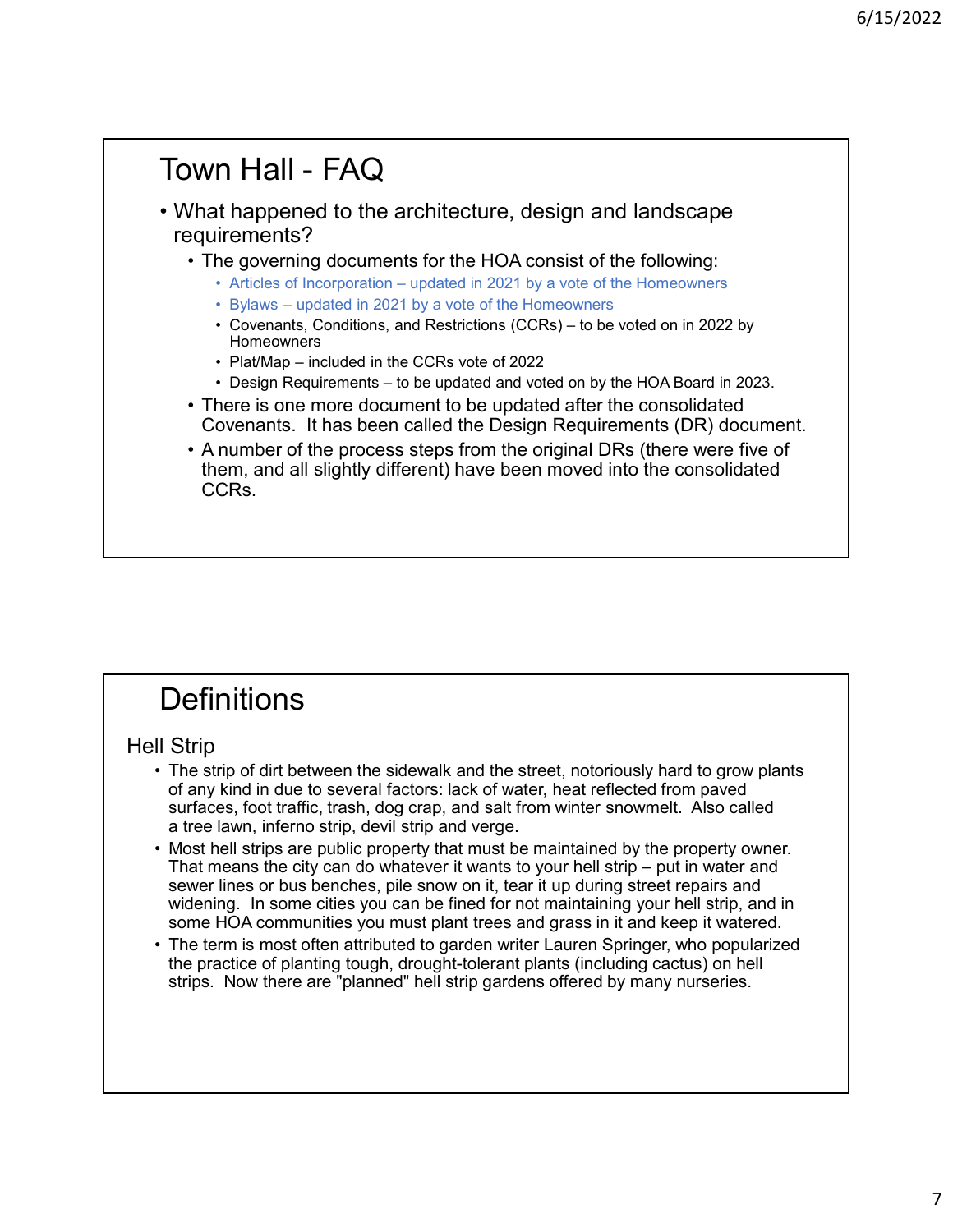# Town Hall - FAQ<br>• What happened to the architecture, design and landscape<br>requirements?<br>• The governing documents for the HOA consist of the following: • What happened to the architecture, design and landscape requirements? • **Hall - FAQ**<br>
• The governing documents for the HOA consist of the following:<br>
• The governing documents for the HOA consist of the following:<br>
• Articles of Incorporation – updated in 2021 by a vote of the Homeowners<br>
• **• Articles of Incorporation – updated in 2021**<br>• Articles of Incorporation – updated in 2021 by a vote of the following:<br>• Articles of Incorporation – updated in 2021 by a vote of the Homeowners<br>• Bylaws – updated in 202 • Bylaws – updated in 2021 by a vote of the Homeowners **• Covenants, Conditions, and Restrictions, and Restrictions, and Restrictions, and Restrictions, and Restrictions, and Restrictions, conditions, conditions, and Restrictions (CCRs) – to be voted on in 2022 by a computat** Homeowners **n Hall – FAQ**<br> **thappened to the architecture, design and landscape irements?**<br> **thappened to the architecture, design and landscape**<br> **i.e.** Articles of Incorporation – updated in 2021 by a vote of the Homeowners<br>
• By **• Hall – FAQ**<br> **• Hall – FAQ**<br> **• Happened to the architecture**, design and landscape<br>
irements?<br>
• e governing documents for the HOA consist of the following:<br>
• Articles of Incorporation – updated in 2021 by a vote of **• The is one more document to be updated after the consolidated** Covenants. The governing documents for the HOA consist of the following:<br>• The governing documents for the HOA consist of the following:<br>• Aricles of Incor Covenants. It has been called the Design Requirements (DR) document. **• A number of the process steps from the original DRs (there were five original SCRS)**<br>• The governing documents for the HOA consist of the following:<br>• Articles of incorporation – updated in 2021 by a vote of the Homeow them, and all slightly different) have been moved into the consolidated CCRs. • There is one more documents – to be updated and voted on by the HOA Board in 2023.<br>• There is one more document to be updated after the consolidated<br>• Covenants. It has been called the Design Requirements (DR) document.<br> • There is one more document to be updated atter the consolidated<br>
Covenants. It has been called the Design Requirements (DR) document.<br>
• A number of the process steps from the original DRs (there were five of<br>
them, and Covenants. It has been called the Design Requirements (DR) document.<br>
• A number of the process steps from the original DRs (there were five of<br>
therm, and all slightly different) have been moved into the consolidated<br>
CCR

# **Definitions**

## Hell Strip

- of any kind in due to several factors: lack of water, heat reflected from paved<br>surfaces, foot traffic, trash, dog crap, and salt from winter snowmelt. Also called
- A number of the process steps from the original DRs (there were five of<br>them, and all slightly different) have been moved into the consolidated<br>CCRs.<br><br>
I Strip<br>
 The strip of dirt between the sidewalk and the street, n them, and all slightly different) have been moved into the consolidated<br>
CCRs.<br>
The strip of dirt between the sidewalk and the street, notoriously hard to grow plants<br>
The strip of dirt between the sidewalk and the street, sewer lines or bus benches, pile snow on it, tear it up during street repairs and widening. In some cities you can be fined for not maintaining your hell strip, and in **Definitions**<br>Strip<br>Strip<br>Strip strip of dirt between the sidewalk and the street, notoriously hard to grow plants<br>To any kind in due to several factors: lack of water, heat reflected from paved<br>arteces, foot traffic, tras **Definitions**<br>
• The strip of dirt between the sidewalk and the street, notoriously hard to grow plants<br>
of any kind in due to several factors: lack of water, heat reflected from paved<br>
surfaces, foot traffic, trash, dog c
- the practice of planting tough, drought-tolerant plants (including cactus) on hell strips. Now there are "planned" hell strip gardens offered by many nurseries.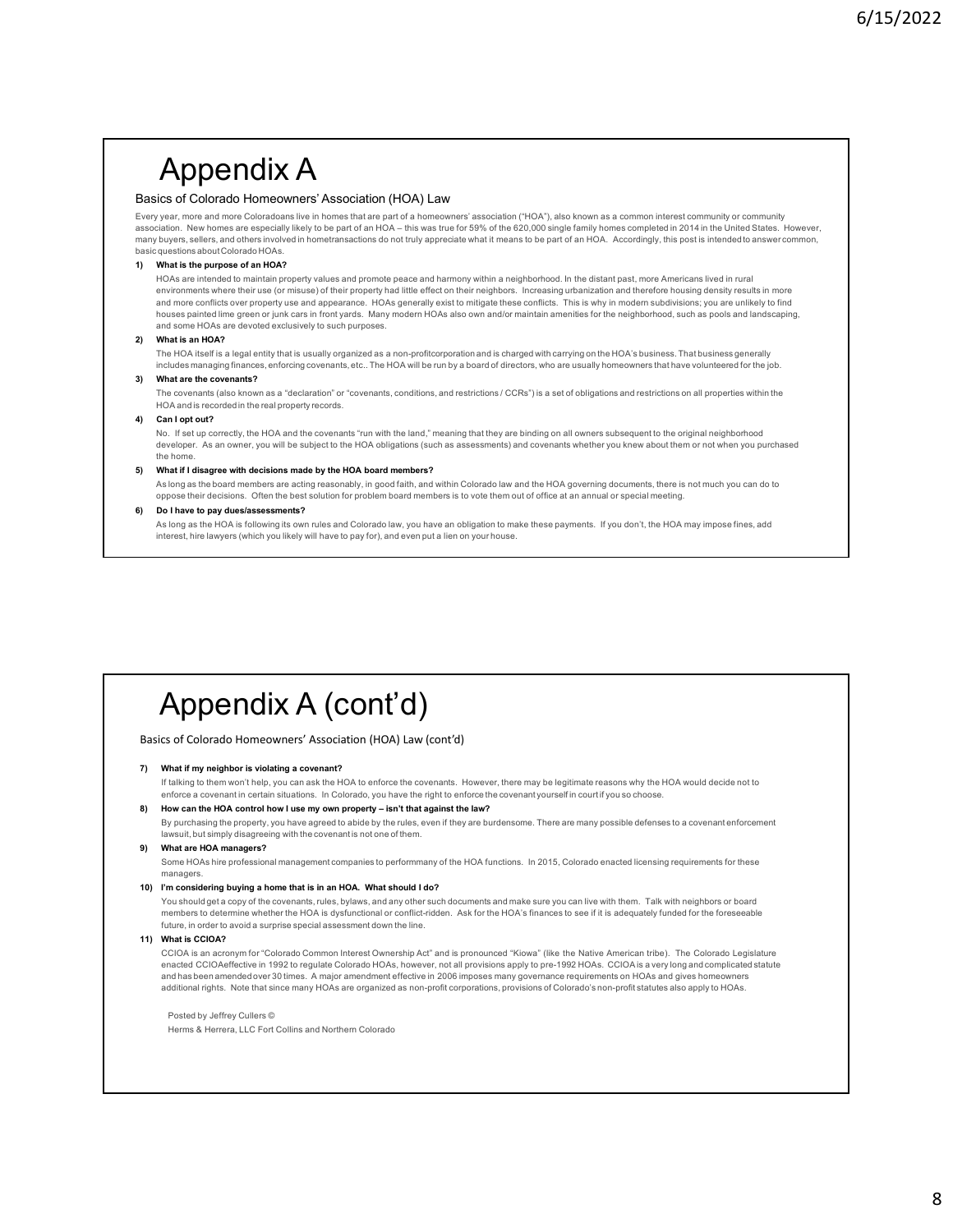# Appendix A

### Basics of Colorado Homeowners' Association (HOA) Law

 $6/15/2022$ <br>  $\bigoplus \mathsf{POend} \mathsf{idx} \mathsf{A}$ <br>
Basics of Colorado Homeowners' Association ("HOA) Law<br>
Every year, more and more Coloradoans live in home shat are part of a homeowner' association ("HOA"), also known as a common i

 $\mathsf{6}/15/2022$ <br>Basics of Colorate Homeowmers' Association (HOA) Law<br>Especialis, they homeowmers' Association (HOA) Law<br>Especialis, the choron of an HOA – this was true for an HOA – this was true for 59% of the 620,000 si  $6/15/2022$ <br>Basics of Colorado Homeowners' Association (HOA) Law<br>Everywar. mee and note coloradors live in homes that are part of a homeowners' association (HOA"), also known as a common interest community or community<br>Ev **Appendix A**<br>Basic conditions about Colorado Homeowevers' Association (HOA) Law<br>Besides of Colorado Homeowevers' Association (HOA) Law<br>Every year, more and more Coloradons live in homes that are part of a homeowers' associ **Applement Control in the purpose of an HOA?**<br>
Basics of Colorado Homeowners' Association (HOA) Law<br>
Every year, more and more Coloradoans live in homes that are part of a homeowners' association ("HOA"), also known as a c HOAs are intended to maintain property values and promote peace and harmony within a neighborhood. In the distant past, more Americans lived in rural<br>environments where their use (or misuse) of their property had little ef  $6/15/2022$ <br>
ics of Colorado Homeowners' Association (HOA) Law<br>
ics of Colorado Homeowners' Association (HOA) Law<br>
ics of Colorado Homeowners' Association (HOA) Law<br>
station, then had may come colorado we inherest had any and more conflicts over property use and appearance. HOAs generally exist to mitigate these conflicts. This is why in modern subdivisions; you are unlikely to find houses painted lime green or junk cars in front yards. Many modern HOAs also own and/or maintain amenities for the neighborhood, such as pools and landscaping, and some HOAs are devoted exclusively to such purposes. **Appoint Control in the Control in the Control in the Comparison of the Control in the Control in the Control in the Control in the Control in the Control in the Control in the Control in the Control in the Control in the**  $6/15/2022$ <br>
The G Colorado Homeowners' Association (HOA) Law<br>
These of Colorado Homeowners' Association (HOA) Law<br>
These mass are a more distributed by the profit is a legal entity of the state of the HOA is usually orga  $6/15/2022$ <br>is of Colorado Homeowners' Association (HOA) Law<br>is of Colorado Homeowners' Association (HOA) Law<br>is one Colorado Homeowners' Association (HOA) Law<br>is one concerns are used in the HOA will be run by a board of  $\mathbf{Appo} \mathbf{Appo} \mathbf{Appo} \mathbf{Appo} \mathbf{Appo} \mathbf{Appo} \mathbf{Appo} \mathbf{Appo} \mathbf{Appo} \mathbf{Appo} \mathbf{Appo} \mathbf{Appo} \mathbf{Appo} \mathbf{Appo} \mathbf{Appo} \mathbf{Appo} \mathbf{Appo} \mathbf{Appo} \mathbf{Appo} \mathbf{Appo} \mathbf{Appo} \mathbf{Appo} \mathbf{Appo} \mathbf{Appo} \mathbf{Appo} \mathbf{Appo} \mathbf{Appo} \mathbf{Appo} \mathbf{Appo} \mathbf{Appo} \mathbf{Appo} \mathbf$  $6/15/2022$ <br>
Sins of Colorado Homeoweres' Association (HOA) Law<br>
year, anno externa concerns the in home text or and a beneverer secondary (HOA), as a boson as a common interaccommunity or common)<br>
year, anno externa conc  $\mathsf{Appo}_\mathsf{G}$  and monoton contents are associated in (HOA) Law<br>is of Colorade Memodes of the real process and points are associated in (HOA) and is recorded in the real property and in the real property and in the real  $\bigwedge$  Capital Section of the Colorado Homeowners' Association (HOA) Law<br>Basics of Colorado Homeowners' Association (HOA) Law<br>Everywer, more and most colorado Homeowners' Association (HOA) Law<br>secondary, theirs are most c **ADDOCHIV** A<br>
Basics of Colorado Homeoweners' Association (HOA) Law<br>
Everywer, mee and not Governload line in homeombala are part of a homeowerie association (110x), also known as a common interestion<br>association. Now hom Appendix A<br>
His of Colorado Homeowners Association (HOA) Law<br>
His of Colorado Homeowners Association (HOA) Law<br>
His or any excitent colorado law in good faith and with the HOA given be HOA governing documents community co **A ODDENIX A**<br>
Since of Calculated Internations was Associated (HOA) Law<br>
these these there are especially able to be provide the best solution for the best solution for collective at a<br>
version of the best solutions. The **Approximately as the control of the UK assessment of the UK assessment and the UK assessment and the UK assessment and the UK assessment and the UK assessment and the UK assessment and the UK assessment and the UK assess** Appendix A<br>
As of Colorado Homeowners' Association (HOA) Law<br>
the HOA is following its owners and the HOA is following interest and Colorado law is for all the HOA Maximized payments. If you have a make the HOA may impose interest, hire lawyers (which you likely will have to pay for), and even put a lien on your house.

No. If set up correctly, the HOA and the covenants "run with the land," meaning that they are binding on all owners subsequent to the original neighborhood developer. As an owner, you will be subject to the HOA obligations (such as assessments) and covenants whether you knew about them or not when you purchased includes managing finitions, estistrate conventions, etc.. The HOA will be runing to benefic directions, who are usually homeowears that<br>
What are the covenants of ideocratic and "declaration" or "covenants, conditions, a **In the the covenants of the United States of the Monday Constrainers** (COR) is a set of ship started the started for the HOA to enforce the HOA to enforce the HOA to enforce the HOA to enforce the HOA words the HOA to enf he coments (absolved the risting of or concerns), conditions, and medicinal COSP, is a sel of elaspinis and medicinal or is a concern in certain situations of the right of the right of the right of the right of the right o I Channel second interest property exorts.<br>
Started section and the HOA control how I use my own property and the law interest and the law is a started the formulation of the HOA control the MOA control the MOA control the an layt to affect of the property, the HOA and the property and the rules, and the property of the result of the rules, and the rules of the rules of the rules of the rules of the rules of the rules of the rules of the rul laws the multiple matrix in this weak the convention of the the best meaning that the set being on all covenant of the meaning the station of the covenant in the covenant in the covenant in the covenant in the covenant in

## Appendix A (cont'd)

Basics of Colorado Homeowners' Association (HOA) Law (cont'd)

See relations when the collect a the HOA collections (such as assessments) and coverinats whether you knew about<br>The Norm II disappress with the deliberation and by by HOA board members?<br>
As long as the board members are a

The above it displays with displays a matrix that the Maximum density<br>
Where it displays a matrix that the three terms in the control of the second interaction of other than the second interaction of the second interactio you show decisions. Ollew the relation for profession devices in two objectives and any other such a court of the covenants. If you dant, the first way inproduces a<br>the covenants, rules, and any other such a control of the is the to by the whole statements of the area is adequate the HOA is determine whether the HOA is discussed to the HOA is discussed to the HOA is discussed to the HOA is discussed to the the HOA is discussed to the the HOA as the individual constraints and the material of the surprise specification and the surprise specification in the line of the surprise specification of the line of the surprise specification of the line of the surprise sp interest, hire lawyers (which you likely will have to pay for), and even put a lien on your house.<br> **Appoint is considered** by the members of Colorado Homeoweners' Association (HOA) Law (cont'd)<br> **Assics of Colorado Homeo**  $\mathsf{AppBMOEN}\mathsf{d}(\mathsf{X}\mathsf{A}(\mathsf{comt}^*\mathsf{d}))$ <br>
what it ay subject to understand  $\mathsf{R}(\mathsf{comt}^*\mathsf{d})$  and it control) that  $(\mathsf{cont}^*\mathsf{d})$ <br>
What it ay subject to understand the second common Interest Decembent Research Comm  $\mathsf{AppoendixA}$   $\mathsf{compus2}$   $\mathsf{A}$   $\mathsf{count}d$ )  $\mathsf{lawex}$  is a constant of  $\mathsf{popus2}$ . There is a very loss than the specific of the specific energy is a very loss than the specific energy is a very loss than the specific ene  $\mathsf{Appendix}\ \mathsf{A}\ \mathsf{(comt'd)}$ <br>
control over 30 times amendment amendment amendment (HOA) take (control)<br>
ment amendment amendment amendment amendment effective in the control over 30 times many based meaning that the November d  $\mathsf{AppendixA}$  (CONT $\mathsf{id}\mathsf{a}$ )<br>and of Colorado Homeowear Association (HOA) Law (control)<br>What if my related as violence as non-profit corporation as non-profit corporations, provisions in the HOA are of Colorado Homeowear<br> **Appendix A** (CONt<sup>1</sup> **d)**<br>
so f Colorado Homeowness' Association (HOA) Law (cont<sup>1</sup>d)<br>
mat if my neighbor is visitating a covenant?<br>
material interaction (HOA) Law (cont1<sup>4</sup>)<br>
material interaction is visitating a covenant

Herms & Herrera, LLC Fort Collins and Northern Colorado